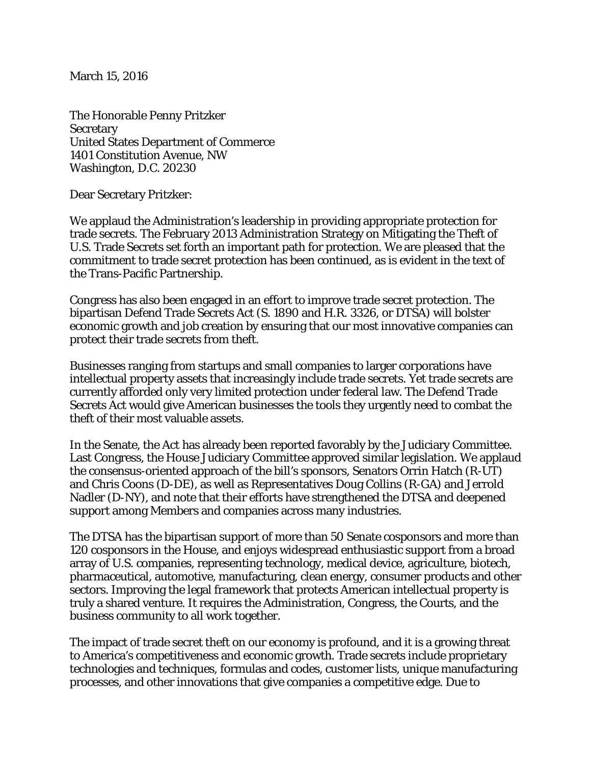March 15, 2016

The Honorable Penny Pritzker **Secretary** United States Department of Commerce 1401 Constitution Avenue, NW Washington, D.C. 20230

Dear Secretary Pritzker:

We applaud the Administration's leadership in providing appropriate protection for trade secrets. The February 2013 Administration Strategy on Mitigating the Theft of U.S. Trade Secrets set forth an important path for protection. We are pleased that the commitment to trade secret protection has been continued, as is evident in the text of the Trans-Pacific Partnership.

Congress has also been engaged in an effort to improve trade secret protection. The bipartisan Defend Trade Secrets Act (S. 1890 and H.R. 3326, or DTSA) will bolster economic growth and job creation by ensuring that our most innovative companies can protect their trade secrets from theft.

Businesses ranging from startups and small companies to larger corporations have intellectual property assets that increasingly include trade secrets. Yet trade secrets are currently afforded only very limited protection under federal law. The Defend Trade Secrets Act would give American businesses the tools they urgently need to combat the theft of their most valuable assets.

In the Senate, the Act has already been reported favorably by the Judiciary Committee. Last Congress, the House Judiciary Committee approved similar legislation. We applaud the consensus-oriented approach of the bill's sponsors, Senators Orrin Hatch (R-UT) and Chris Coons (D-DE), as well as Representatives Doug Collins (R-GA) and Jerrold Nadler (D-NY), and note that their efforts have strengthened the DTSA and deepened support among Members and companies across many industries.

The DTSA has the bipartisan support of more than 50 Senate cosponsors and more than 120 cosponsors in the House, and enjoys widespread enthusiastic support from a broad array of U.S. companies, representing technology, medical device, agriculture, biotech, pharmaceutical, automotive, manufacturing, clean energy, consumer products and other sectors. Improving the legal framework that protects American intellectual property is truly a shared venture. It requires the Administration, Congress, the Courts, and the business community to all work together.

The impact of trade secret theft on our economy is profound, and it is a growing threat to America's competitiveness and economic growth. Trade secrets include proprietary technologies and techniques, formulas and codes, customer lists, unique manufacturing processes, and other innovations that give companies a competitive edge. Due to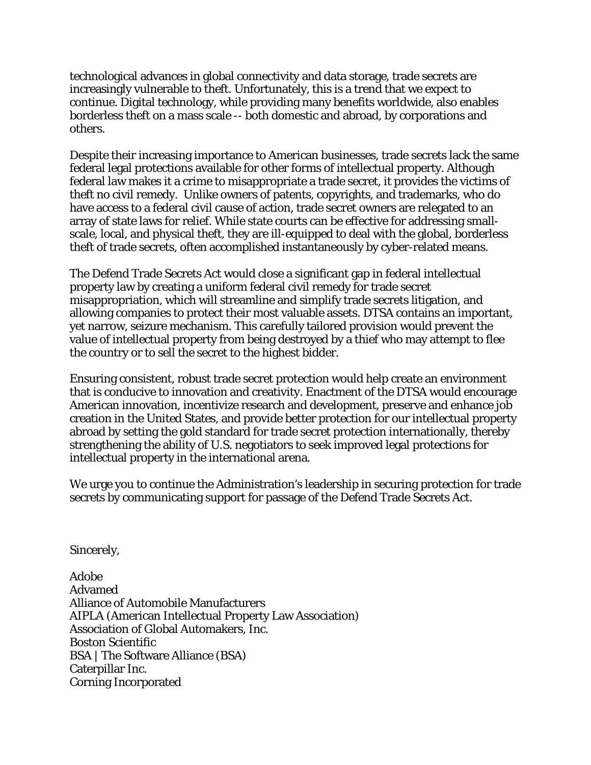technological advances in global connectivity and data storage, trade secrets are increasingly vulnerable to theft. Unfortunately, this is a trend that we expect to continue. Digital technology, while providing many benefits worldwide, also enables borderless theft on a mass scale -- both domestic and abroad, by corporations and others.

Despite their increasing importance to American businesses, trade secrets lack the same federal legal protections available for other forms of intellectual property. Although federal law makes it a crime to misappropriate a trade secret, it provides the victims of theft no civil remedy. Unlike owners of patents, copyrights, and trademarks, who do have access to a federal civil cause of action, trade secret owners are relegated to an array of state laws for relief. While state courts can be effective for addressing smallscale, local, and physical theft, they are ill-equipped to deal with the global, borderless theft of trade secrets, often accomplished instantaneously by cyber-related means.

The Defend Trade Secrets Act would close a significant gap in federal intellectual property law by creating a uniform federal civil remedy for trade secret misappropriation, which will streamline and simplify trade secrets litigation, and allowing companies to protect their most valuable assets. DTSA contains an important, yet narrow, seizure mechanism. This carefully tailored provision would prevent the value of intellectual property from being destroyed by a thief who may attempt to flee the country or to sell the secret to the highest bidder.

Ensuring consistent, robust trade secret protection would help create an environment that is conducive to innovation and creativity. Enactment of the DTSA would encourage American innovation, incentivize research and development, preserve and enhance job creation in the United States, and provide better protection for our intellectual property abroad by setting the gold standard for trade secret protection internationally, thereby strengthening the ability of U.S. negotiators to seek improved legal protections for intellectual property in the international arena.

We urge you to continue the Administration's leadership in securing protection for trade secrets by communicating support for passage of the Defend Trade Secrets Act.

Sincerely,

Adobe Advamed Alliance of Automobile Manufacturers AIPLA (American Intellectual Property Law Association) Association of Global Automakers, Inc. Boston Scientific BSA | The Software Alliance (BSA) Caterpillar Inc. Corning Incorporated